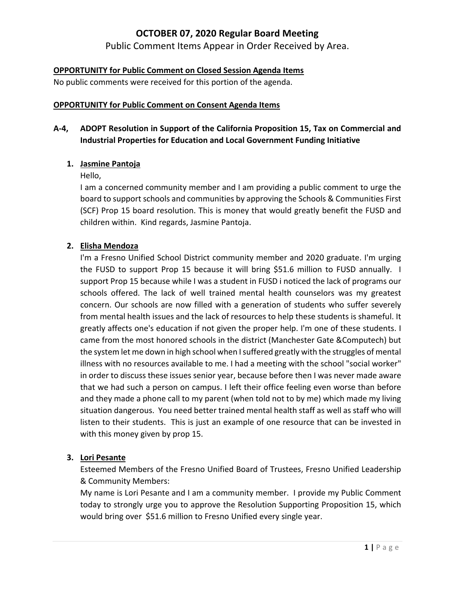# **OCTOBER 07, 2020 Regular Board Meeting**

Public Comment Items Appear in Order Received by Area.

## **OPPORTUNITY for Public Comment on Closed Session Agenda Items**

No public comments were received for this portion of the agenda.

#### **OPPORTUNITY for Public Comment on Consent Agenda Items**

# **A‐4, ADOPT Resolution in Support of the California Proposition 15, Tax on Commercial and Industrial Properties for Education and Local Government Funding Initiative**

### **1. Jasmine Pantoja**

#### Hello,

I am a concerned community member and I am providing a public comment to urge the board to support schools and communities by approving the Schools & Communities First (SCF) Prop 15 board resolution. This is money that would greatly benefit the FUSD and children within. Kind regards, Jasmine Pantoja.

#### **2. Elisha Mendoza**

I'm a Fresno Unified School District community member and 2020 graduate. I'm urging the FUSD to support Prop 15 because it will bring \$51.6 million to FUSD annually. I support Prop 15 because while I was a student in FUSD i noticed the lack of programs our schools offered. The lack of well trained mental health counselors was my greatest concern. Our schools are now filled with a generation of students who suffer severely from mental health issues and the lack of resources to help these students is shameful. It greatly affects one's education if not given the proper help. I'm one of these students. I came from the most honored schools in the district (Manchester Gate &Computech) but the system let me down in high school when I suffered greatly with the struggles of mental illness with no resources available to me. I had a meeting with the school "social worker" in order to discuss these issues senior year, because before then I was never made aware that we had such a person on campus. I left their office feeling even worse than before and they made a phone call to my parent (when told not to by me) which made my living situation dangerous. You need better trained mental health staff as well as staff who will listen to their students. This is just an example of one resource that can be invested in with this money given by prop 15.

### **3. Lori Pesante**

Esteemed Members of the Fresno Unified Board of Trustees, Fresno Unified Leadership & Community Members:

My name is Lori Pesante and I am a community member. I provide my Public Comment today to strongly urge you to approve the Resolution Supporting Proposition 15, which would bring over \$51.6 million to Fresno Unified every single year.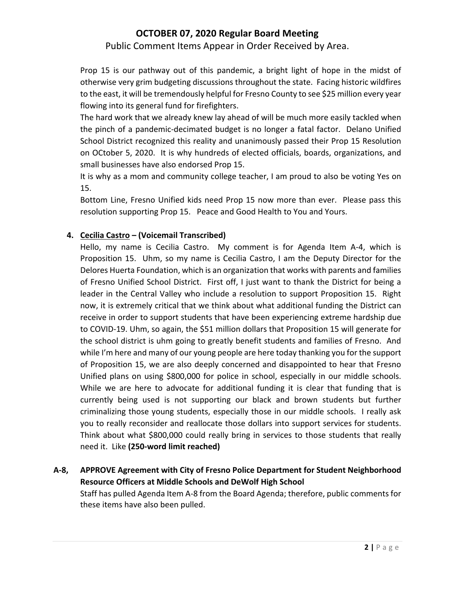# **OCTOBER 07, 2020 Regular Board Meeting**

Public Comment Items Appear in Order Received by Area.

Prop 15 is our pathway out of this pandemic, a bright light of hope in the midst of otherwise very grim budgeting discussions throughout the state. Facing historic wildfires to the east, it will be tremendously helpful for Fresno County to see \$25 million every year flowing into its general fund for firefighters.

The hard work that we already knew lay ahead of will be much more easily tackled when the pinch of a pandemic‐decimated budget is no longer a fatal factor. Delano Unified School District recognized this reality and unanimously passed their Prop 15 Resolution on OCtober 5, 2020. It is why hundreds of elected officials, boards, organizations, and small businesses have also endorsed Prop 15.

It is why as a mom and community college teacher, I am proud to also be voting Yes on 15.

Bottom Line, Fresno Unified kids need Prop 15 now more than ever. Please pass this resolution supporting Prop 15. Peace and Good Health to You and Yours.

### **4. Cecilia Castro – (Voicemail Transcribed)**

Hello, my name is Cecilia Castro. My comment is for Agenda Item A-4, which is Proposition 15. Uhm, so my name is Cecilia Castro, I am the Deputy Director for the Delores Huerta Foundation, which is an organization that works with parents and families of Fresno Unified School District. First off, I just want to thank the District for being a leader in the Central Valley who include a resolution to support Proposition 15. Right now, it is extremely critical that we think about what additional funding the District can receive in order to support students that have been experiencing extreme hardship due to COVID‐19. Uhm, so again, the \$51 million dollars that Proposition 15 will generate for the school district is uhm going to greatly benefit students and families of Fresno. And while I'm here and many of our young people are here today thanking you for the support of Proposition 15, we are also deeply concerned and disappointed to hear that Fresno Unified plans on using \$800,000 for police in school, especially in our middle schools. While we are here to advocate for additional funding it is clear that funding that is currently being used is not supporting our black and brown students but further criminalizing those young students, especially those in our middle schools. I really ask you to really reconsider and reallocate those dollars into support services for students. Think about what \$800,000 could really bring in services to those students that really need it. Like **(250‐word limit reached)**

**A‐8, APPROVE Agreement with City of Fresno Police Department for Student Neighborhood Resource Officers at Middle Schools and DeWolf High School** Staff has pulled Agenda Item A‐8 from the Board Agenda; therefore, public comments for these items have also been pulled.